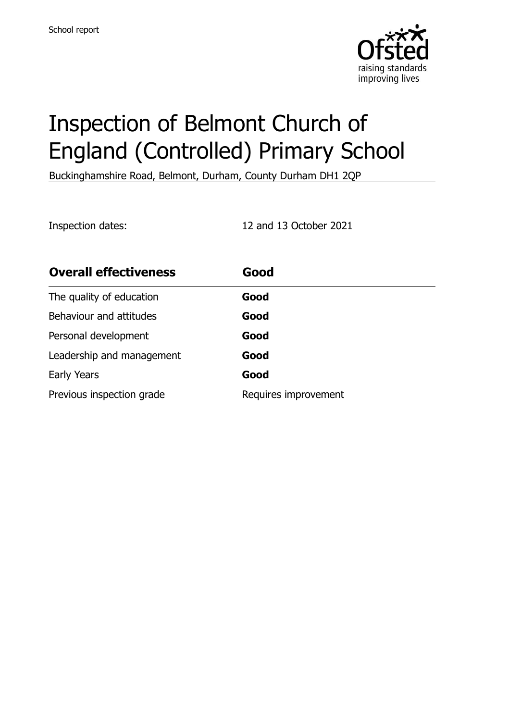

# Inspection of Belmont Church of England (Controlled) Primary School

Buckinghamshire Road, Belmont, Durham, County Durham DH1 2QP

Inspection dates: 12 and 13 October 2021

| <b>Overall effectiveness</b> | Good                 |
|------------------------------|----------------------|
| The quality of education     | Good                 |
| Behaviour and attitudes      | Good                 |
| Personal development         | Good                 |
| Leadership and management    | Good                 |
| Early Years                  | Good                 |
| Previous inspection grade    | Requires improvement |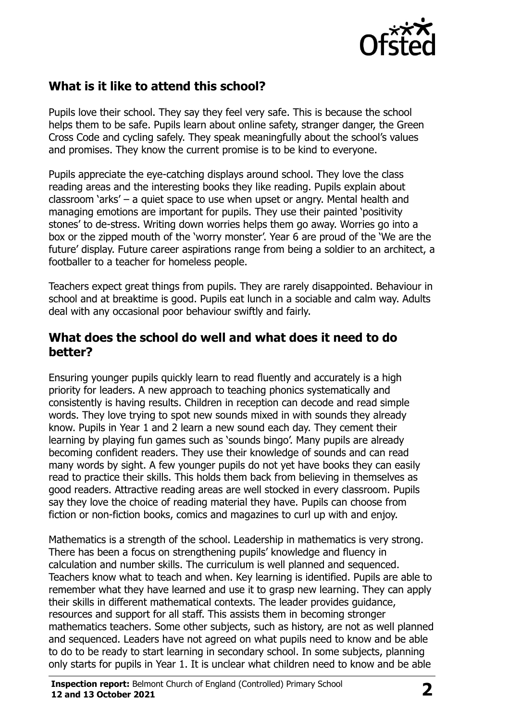

## **What is it like to attend this school?**

Pupils love their school. They say they feel very safe. This is because the school helps them to be safe. Pupils learn about online safety, stranger danger, the Green Cross Code and cycling safely. They speak meaningfully about the school's values and promises. They know the current promise is to be kind to everyone.

Pupils appreciate the eye-catching displays around school. They love the class reading areas and the interesting books they like reading. Pupils explain about classroom 'arks' – a quiet space to use when upset or angry. Mental health and managing emotions are important for pupils. They use their painted 'positivity stones' to de-stress. Writing down worries helps them go away. Worries go into a box or the zipped mouth of the 'worry monster'. Year 6 are proud of the 'We are the future' display. Future career aspirations range from being a soldier to an architect, a footballer to a teacher for homeless people.

Teachers expect great things from pupils. They are rarely disappointed. Behaviour in school and at breaktime is good. Pupils eat lunch in a sociable and calm way. Adults deal with any occasional poor behaviour swiftly and fairly.

#### **What does the school do well and what does it need to do better?**

Ensuring younger pupils quickly learn to read fluently and accurately is a high priority for leaders. A new approach to teaching phonics systematically and consistently is having results. Children in reception can decode and read simple words. They love trying to spot new sounds mixed in with sounds they already know. Pupils in Year 1 and 2 learn a new sound each day. They cement their learning by playing fun games such as 'sounds bingo'. Many pupils are already becoming confident readers. They use their knowledge of sounds and can read many words by sight. A few younger pupils do not yet have books they can easily read to practice their skills. This holds them back from believing in themselves as good readers. Attractive reading areas are well stocked in every classroom. Pupils say they love the choice of reading material they have. Pupils can choose from fiction or non-fiction books, comics and magazines to curl up with and enjoy.

Mathematics is a strength of the school. Leadership in mathematics is very strong. There has been a focus on strengthening pupils' knowledge and fluency in calculation and number skills. The curriculum is well planned and sequenced. Teachers know what to teach and when. Key learning is identified. Pupils are able to remember what they have learned and use it to grasp new learning. They can apply their skills in different mathematical contexts. The leader provides guidance, resources and support for all staff. This assists them in becoming stronger mathematics teachers. Some other subjects, such as history, are not as well planned and sequenced. Leaders have not agreed on what pupils need to know and be able to do to be ready to start learning in secondary school. In some subjects, planning only starts for pupils in Year 1. It is unclear what children need to know and be able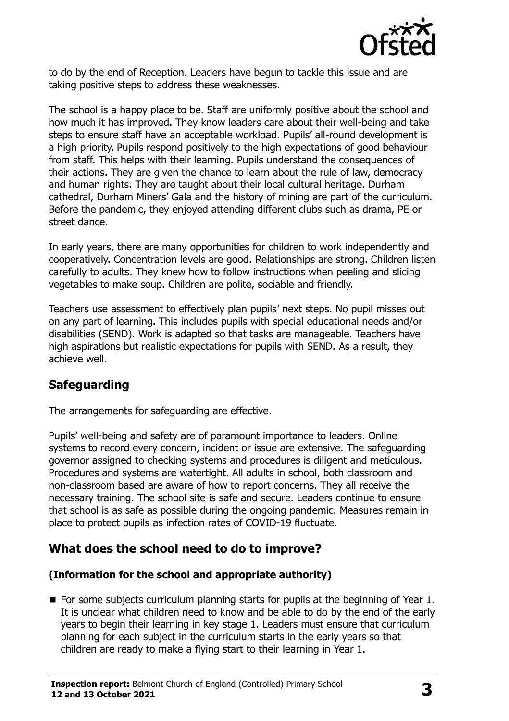

to do by the end of Reception. Leaders have begun to tackle this issue and are taking positive steps to address these weaknesses.

The school is a happy place to be. Staff are uniformly positive about the school and how much it has improved. They know leaders care about their well-being and take steps to ensure staff have an acceptable workload. Pupils' all-round development is a high priority. Pupils respond positively to the high expectations of good behaviour from staff. This helps with their learning. Pupils understand the consequences of their actions. They are given the chance to learn about the rule of law, democracy and human rights. They are taught about their local cultural heritage. Durham cathedral, Durham Miners' Gala and the history of mining are part of the curriculum. Before the pandemic, they enjoyed attending different clubs such as drama, PE or street dance.

In early years, there are many opportunities for children to work independently and cooperatively. Concentration levels are good. Relationships are strong. Children listen carefully to adults. They knew how to follow instructions when peeling and slicing vegetables to make soup. Children are polite, sociable and friendly.

Teachers use assessment to effectively plan pupils' next steps. No pupil misses out on any part of learning. This includes pupils with special educational needs and/or disabilities (SEND). Work is adapted so that tasks are manageable. Teachers have high aspirations but realistic expectations for pupils with SEND. As a result, they achieve well.

## **Safeguarding**

The arrangements for safeguarding are effective.

Pupils' well-being and safety are of paramount importance to leaders. Online systems to record every concern, incident or issue are extensive. The safeguarding governor assigned to checking systems and procedures is diligent and meticulous. Procedures and systems are watertight. All adults in school, both classroom and non-classroom based are aware of how to report concerns. They all receive the necessary training. The school site is safe and secure. Leaders continue to ensure that school is as safe as possible during the ongoing pandemic. Measures remain in place to protect pupils as infection rates of COVID-19 fluctuate.

## **What does the school need to do to improve?**

#### **(Information for the school and appropriate authority)**

■ For some subjects curriculum planning starts for pupils at the beginning of Year 1. It is unclear what children need to know and be able to do by the end of the early years to begin their learning in key stage 1. Leaders must ensure that curriculum planning for each subject in the curriculum starts in the early years so that children are ready to make a flying start to their learning in Year 1.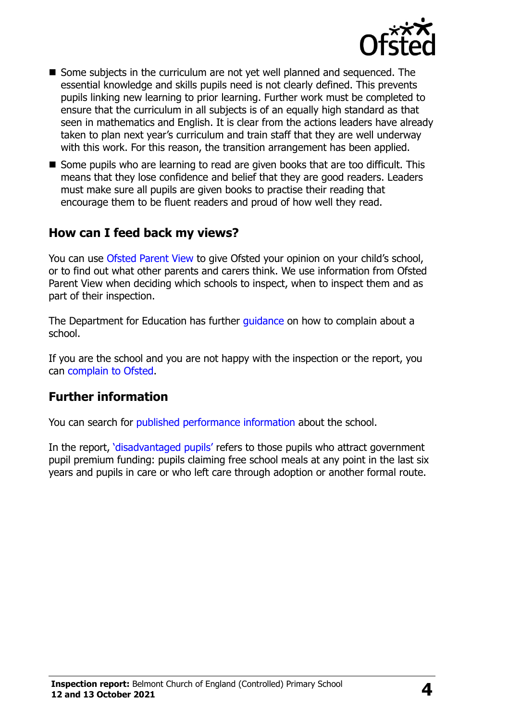

- Some subjects in the curriculum are not yet well planned and sequenced. The essential knowledge and skills pupils need is not clearly defined. This prevents pupils linking new learning to prior learning. Further work must be completed to ensure that the curriculum in all subjects is of an equally high standard as that seen in mathematics and English. It is clear from the actions leaders have already taken to plan next year's curriculum and train staff that they are well underway with this work. For this reason, the transition arrangement has been applied.
- Some pupils who are learning to read are given books that are too difficult. This means that they lose confidence and belief that they are good readers. Leaders must make sure all pupils are given books to practise their reading that encourage them to be fluent readers and proud of how well they read.

#### **How can I feed back my views?**

You can use [Ofsted Parent View](http://parentview.ofsted.gov.uk/) to give Ofsted your opinion on your child's school, or to find out what other parents and carers think. We use information from Ofsted Parent View when deciding which schools to inspect, when to inspect them and as part of their inspection.

The Department for Education has further quidance on how to complain about a school.

If you are the school and you are not happy with the inspection or the report, you can [complain to Ofsted.](http://www.gov.uk/complain-ofsted-report)

## **Further information**

You can search for [published performance information](http://www.compare-school-performance.service.gov.uk/) about the school.

In the report, '[disadvantaged pupils](http://www.gov.uk/guidance/pupil-premium-information-for-schools-and-alternative-provision-settings)' refers to those pupils who attract government pupil premium funding: pupils claiming free school meals at any point in the last six years and pupils in care or who left care through adoption or another formal route.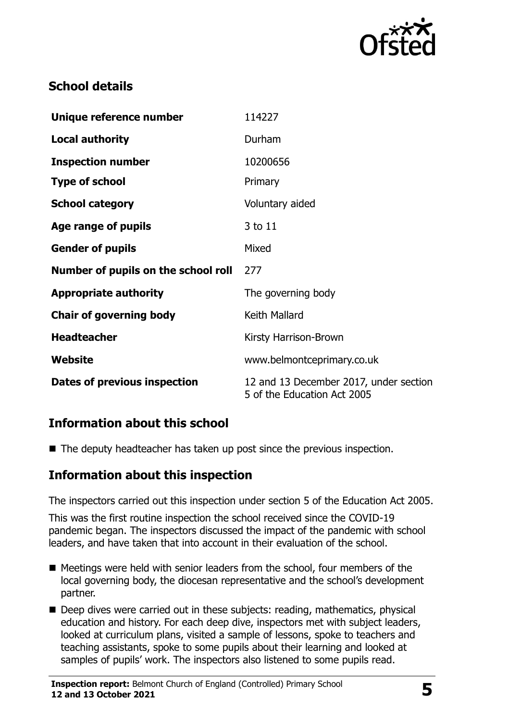

# **School details**

| Unique reference number             | 114227                                                                |
|-------------------------------------|-----------------------------------------------------------------------|
| <b>Local authority</b>              | Durham                                                                |
| <b>Inspection number</b>            | 10200656                                                              |
| <b>Type of school</b>               | Primary                                                               |
| <b>School category</b>              | Voluntary aided                                                       |
| Age range of pupils                 | 3 to 11                                                               |
| <b>Gender of pupils</b>             | Mixed                                                                 |
| Number of pupils on the school roll | 277                                                                   |
| <b>Appropriate authority</b>        | The governing body                                                    |
| <b>Chair of governing body</b>      | Keith Mallard                                                         |
| <b>Headteacher</b>                  | Kirsty Harrison-Brown                                                 |
| Website                             | www.belmontceprimary.co.uk                                            |
| Dates of previous inspection        | 12 and 13 December 2017, under section<br>5 of the Education Act 2005 |

## **Information about this school**

■ The deputy headteacher has taken up post since the previous inspection.

## **Information about this inspection**

The inspectors carried out this inspection under section 5 of the Education Act 2005.

This was the first routine inspection the school received since the COVID-19 pandemic began. The inspectors discussed the impact of the pandemic with school leaders, and have taken that into account in their evaluation of the school.

- Meetings were held with senior leaders from the school, four members of the local governing body, the diocesan representative and the school's development partner.
- Deep dives were carried out in these subjects: reading, mathematics, physical education and history. For each deep dive, inspectors met with subject leaders, looked at curriculum plans, visited a sample of lessons, spoke to teachers and teaching assistants, spoke to some pupils about their learning and looked at samples of pupils' work. The inspectors also listened to some pupils read.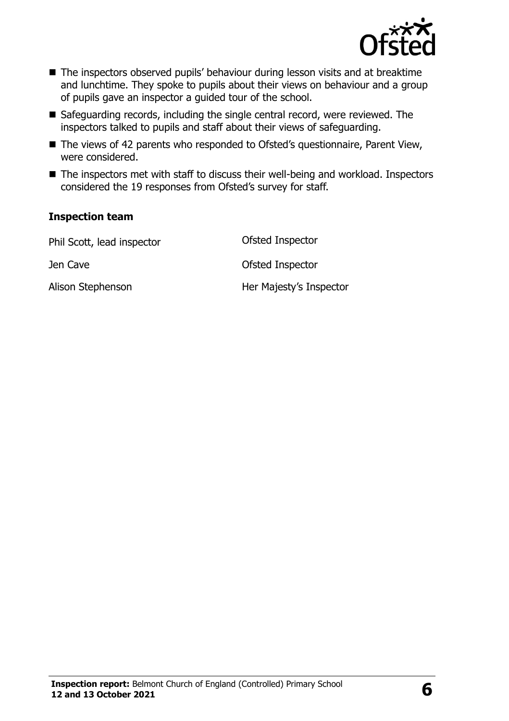

- The inspectors observed pupils' behaviour during lesson visits and at breaktime and lunchtime. They spoke to pupils about their views on behaviour and a group of pupils gave an inspector a guided tour of the school.
- Safeguarding records, including the single central record, were reviewed. The inspectors talked to pupils and staff about their views of safeguarding.
- The views of 42 parents who responded to Ofsted's questionnaire, Parent View, were considered.
- The inspectors met with staff to discuss their well-being and workload. Inspectors considered the 19 responses from Ofsted's survey for staff.

#### **Inspection team**

| Phil Scott, lead inspector | Ofsted Inspector        |
|----------------------------|-------------------------|
| Jen Cave                   | Ofsted Inspector        |
| Alison Stephenson          | Her Majesty's Inspector |